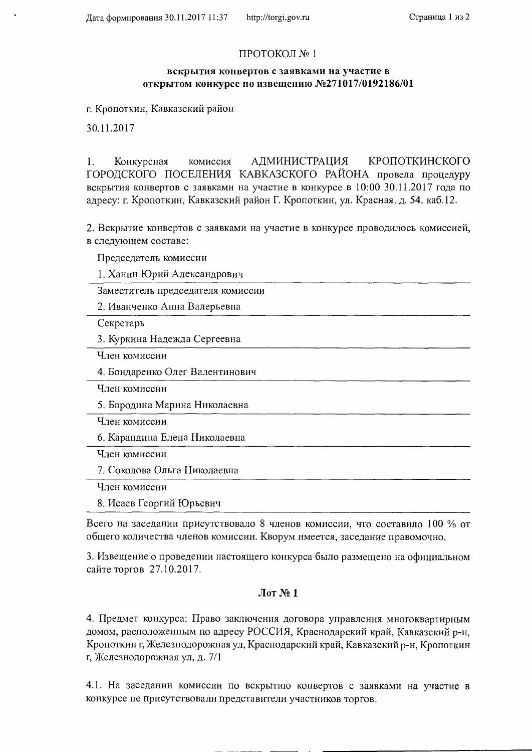## ПРОТОКОЛ №1

## вскрытия конвертов с заявками на участие в открытом конкурсе по извещению №271017/0192186/01

г. Кропоткин, Кавказский район

30.11.2017

Конкурсная АДМИНИСТРАЦИЯ КРОПОТКИНСКОГО  $1<sub>1</sub>$ комиссия ГОРОДСКОГО ПОСЕЛЕНИЯ КАВКАЗСКОГО РАЙОНА провела процедуру вскрытия конвертов с заявками на участие в конкурсе в 10:00 30.11.2017 года по адресу: г. Кропоткин, Кавказский район Г. Кропоткин, ул. Красная. д. 54. каб.12.

2. Вскрытие конвертов с заявками на участие в конкурсе проводилось комиссией, в следующем составе:

Председатель комиссии

1. Ханин Юрий Александрович

Заместитель председателя комиссии

2. Иванченко Анна Валерьевна

Секретарь

3. Куркина Надежда Сергеевна

Член комиссии

4. Бондаренко Олег Валентинович

Член комиссии

5. Бородина Марина Николаевна

Член комиссии

6. Карандина Елена Николаевна

Член комиссии

7. Соколова Ольга Николаевна

Член комиссии

8. Исаев Георгий Юрьевич

Всего на заседании присутствовало 8 членов комиссии, что составило 100 % от общего количества членов комиссии. Кворум имеется, заседание правомочно.

3. Извещение о проведении настоящего конкурса было размещено на официальном сайте торгов 27.10.2017.

## $\pi N_2 1$

4. Предмет конкурса: Право заключения договора управления многоквартирным домом, расположенным по адресу РОССИЯ, Краснодарский край, Кавказский р-н, Кропоткин г, Железнодорожная ул, Краснодарский край, Кавказский р-н, Кропоткин г, Железнодорожная ул, д. 7/1

4.1. На заседании комиссии по вскрытию конвертов с заявками на участие в конкурсе не присутствовали представители участников торгов.